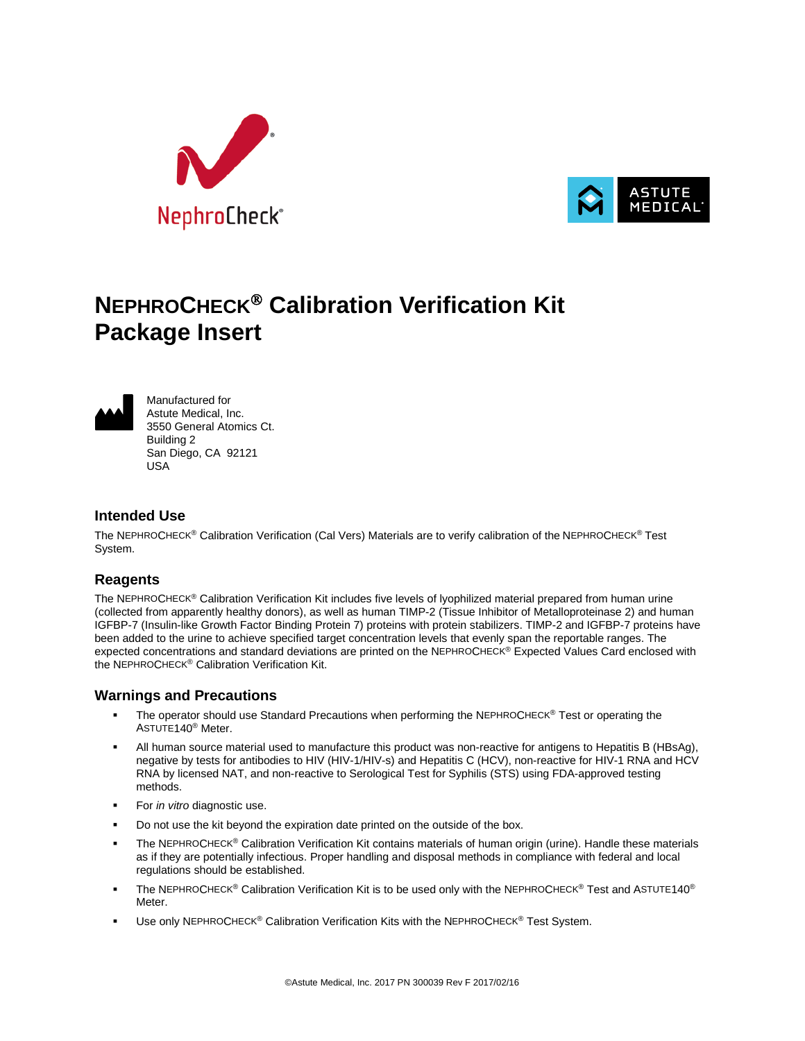



# **NEPHROCHECK Calibration Verification Kit Package Insert**



Manufactured for Astute Medical, Inc. 3550 General Atomics Ct. Building 2 San Diego, CA 92121 USA

## **Intended Use**

The NEPHROCHECK® Calibration Verification (Cal Vers) Materials are to verify calibration of the NEPHROCHECK® Test System.

## **Reagents**

The NEPHROCHECK® Calibration Verification Kit includes five levels of lyophilized material prepared from human urine (collected from apparently healthy donors), as well as human TIMP-2 (Tissue Inhibitor of Metalloproteinase 2) and human IGFBP-7 (Insulin-like Growth Factor Binding Protein 7) proteins with protein stabilizers. TIMP-2 and IGFBP-7 proteins have been added to the urine to achieve specified target concentration levels that evenly span the reportable ranges. The expected concentrations and standard deviations are printed on the NEPHROCHECK® Expected Values Card enclosed with the NEPHROCHECK® Calibration Verification Kit.

#### **Warnings and Precautions**

- The operator should use Standard Precautions when performing the NEPHROCHECK® Test or operating the ASTUTE140® Meter.
- All human source material used to manufacture this product was non-reactive for antigens to Hepatitis B (HBsAg), negative by tests for antibodies to HIV (HIV-1/HIV-s) and Hepatitis C (HCV), non-reactive for HIV-1 RNA and HCV RNA by licensed NAT, and non-reactive to Serological Test for Syphilis (STS) using FDA-approved testing methods.
- For *in vitro* diagnostic use.
- Do not use the kit beyond the expiration date printed on the outside of the box.
- The NEPHROCHECK® Calibration Verification Kit contains materials of human origin (urine). Handle these materials as if they are potentially infectious. Proper handling and disposal methods in compliance with federal and local regulations should be established.
- The NEPHROCHECK® Calibration Verification Kit is to be used only with the NEPHROCHECK® Test and ASTUTE140® **Meter**
- Use only NEPHROCHECK® Calibration Verification Kits with the NEPHROCHECK® Test System.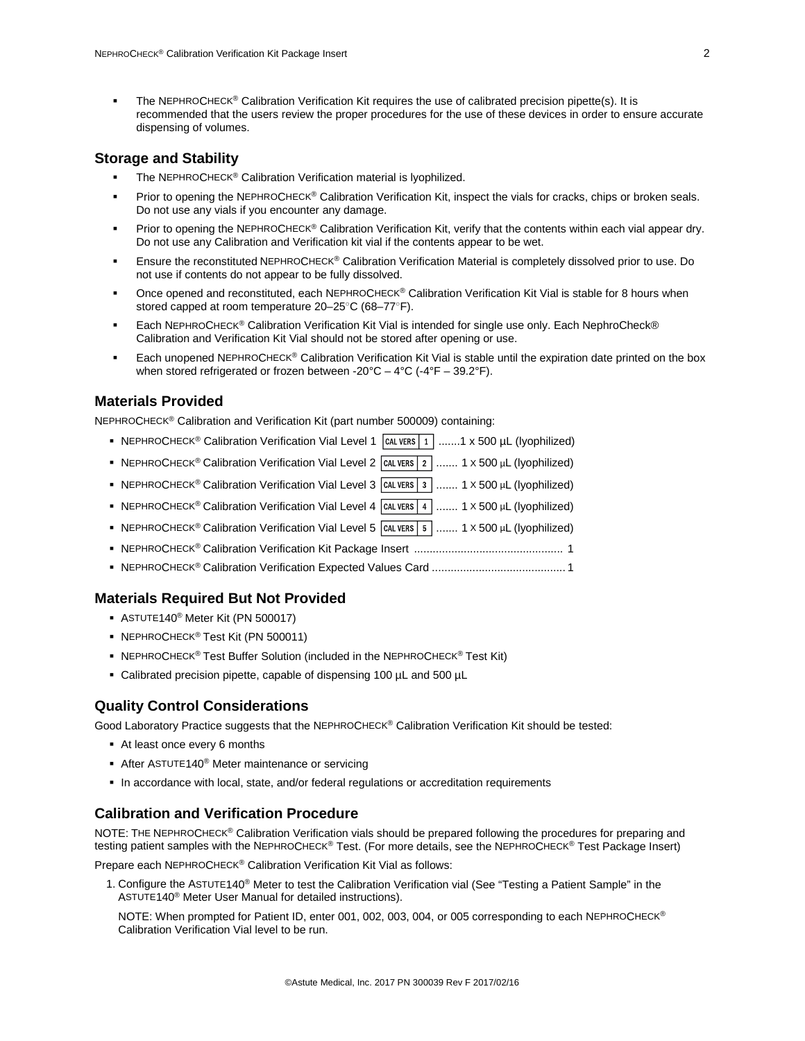The NEPHROCHECK® Calibration Verification Kit requires the use of calibrated precision pipette(s). It is recommended that the users review the proper procedures for the use of these devices in order to ensure accurate dispensing of volumes.

#### **Storage and Stability**

- The NEPHROCHECK® Calibration Verification material is lyophilized.
- Prior to opening the NEPHROCHECK® Calibration Verification Kit, inspect the vials for cracks, chips or broken seals. Do not use any vials if you encounter any damage.
- Prior to opening the NEPHROCHECK<sup>®</sup> Calibration Verification Kit, verify that the contents within each vial appear dry. Do not use any Calibration and Verification kit vial if the contents appear to be wet.
- Ensure the reconstituted NEPHROCHECK® Calibration Verification Material is completely dissolved prior to use. Do not use if contents do not appear to be fully dissolved.
- Once opened and reconstituted, each NEPHROCHECK® Calibration Verification Kit Vial is stable for 8 hours when stored capped at room temperature 20–25○C (68–77○F).
- Each NEPHROCHECK® Calibration Verification Kit Vial is intended for single use only. Each NephroCheck® Calibration and Verification Kit Vial should not be stored after opening or use.
- Each unopened NEPHROCHECK® Calibration Verification Kit Vial is stable until the expiration date printed on the box when stored refrigerated or frozen between -20°C – 4°C (-4°F – 39.2°F).

## **Materials Provided**

NEPHROCHECK® Calibration and Verification Kit (part number 500009) containing:

- NEPHROCHECK<sup>®</sup> Calibration Verification Vial Level 1  $|$  CAL VERS  $|1|$  .......1 x 500 µL (lyophilized)
- NEPHROCHECK<sup>®</sup> Calibration Verification Vial Level 2  $\boxed{\text{CAL VERS} 2$  ....... 1 X 500 µL (lyophilized)
- NEPHROCHECK<sup>®</sup> Calibration Verification Vial Level 3  $\boxed{\text{CAL VERS} 3}$  ....... 1 X 500 µL (lyophilized)
- NEPHROCHECK<sup>®</sup> Calibration Verification Vial Level 4  $\vert$  CAL VERS  $\vert$  4  $\vert$  ....... 1 X 500 µL (lyophilized)
- NEPHROCHECK<sup>®</sup> Calibration Verification Vial Level 5  $\sqrt{\frac{1}{100}}$  ....... 1 × 500 µL (lyophilized)
- NEPHROCHECK® Calibration Verification Kit Package Insert ................................................ 1
- NEPHROCHECK® Calibration Verification Expected Values Card ........................................... 1

#### **Materials Required But Not Provided**

- ASTUTE140® Meter Kit (PN 500017)
- NEPHROCHECK<sup>®</sup> Test Kit (PN 500011)
- NEPHROCHECK<sup>®</sup> Test Buffer Solution (included in the NEPHROCHECK<sup>®</sup> Test Kit)
- Calibrated precision pipette, capable of dispensing 100 µL and 500 µL

#### **Quality Control Considerations**

Good Laboratory Practice suggests that the NEPHROCHECK® Calibration Verification Kit should be tested:

- At least once every 6 months
- After ASTUTE140<sup>®</sup> Meter maintenance or servicing
- In accordance with local, state, and/or federal regulations or accreditation requirements

## **Calibration and Verification Procedure**

NOTE: THE NEPHROCHECK® Calibration Verification vials should be prepared following the procedures for preparing and testing patient samples with the NEPHROCHECK® Test. (For more details, see the NEPHROCHECK® Test Package Insert)

Prepare each NEPHROCHECK® Calibration Verification Kit Vial as follows:

1. Configure the ASTUTE140® Meter to test the Calibration Verification vial (See "Testing a Patient Sample" in the ASTUTE140® Meter User Manual for detailed instructions).

NOTE: When prompted for Patient ID, enter 001, 002, 003, 004, or 005 corresponding to each NEPHROCHECK® Calibration Verification Vial level to be run.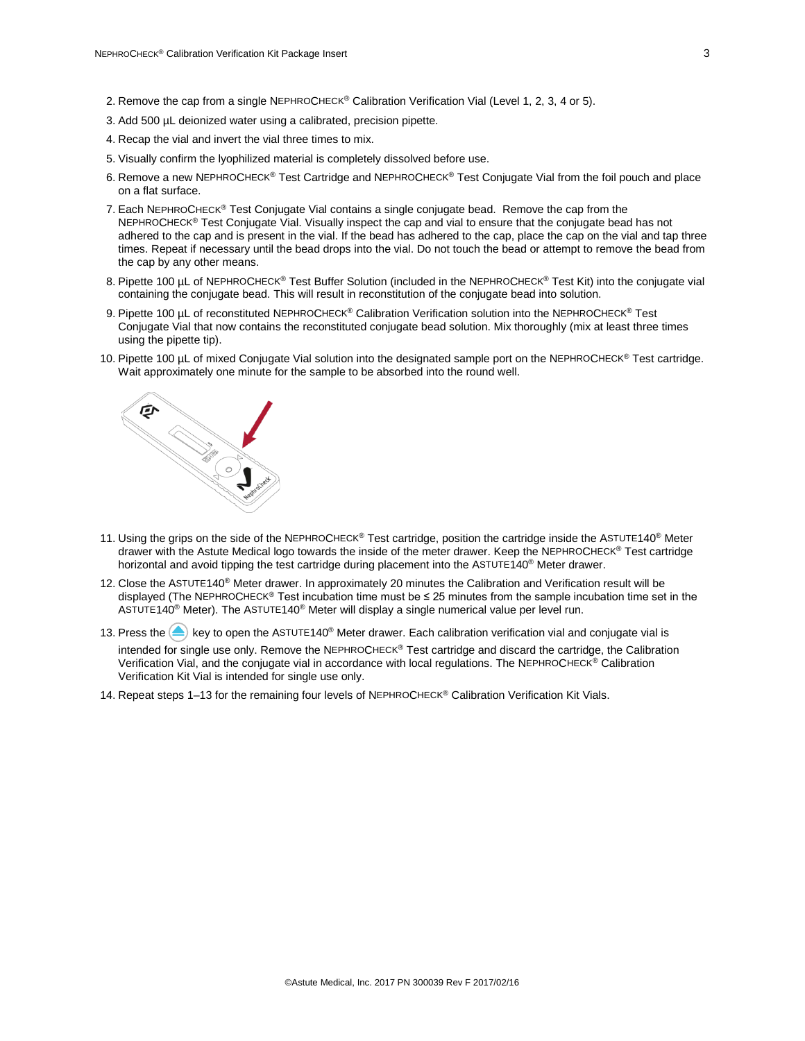- 2. Remove the cap from a single NEPHROCHECK® Calibration Verification Vial (Level 1, 2, 3, 4 or 5).
- 3. Add 500 µL deionized water using a calibrated, precision pipette.
- 4. Recap the vial and invert the vial three times to mix.
- 5. Visually confirm the lyophilized material is completely dissolved before use.
- 6. Remove a new NEPHROCHECK® Test Cartridge and NEPHROCHECK® Test Conjugate Vial from the foil pouch and place on a flat surface.
- 7. Each NEPHROCHECK® Test Conjugate Vial contains a single conjugate bead. Remove the cap from the NEPHROCHECK® Test Conjugate Vial. Visually inspect the cap and vial to ensure that the conjugate bead has not adhered to the cap and is present in the vial. If the bead has adhered to the cap, place the cap on the vial and tap three times. Repeat if necessary until the bead drops into the vial. Do not touch the bead or attempt to remove the bead from the cap by any other means.
- 8. Pipette 100 µL of NEPHROCHECK<sup>®</sup> Test Buffer Solution (included in the NEPHROCHECK® Test Kit) into the conjugate vial containing the conjugate bead. This will result in reconstitution of the conjugate bead into solution.
- 9. Pipette 100 uL of reconstituted NEPHROCHECK® Calibration Verification solution into the NEPHROCHECK® Test Conjugate Vial that now contains the reconstituted conjugate bead solution. Mix thoroughly (mix at least three times using the pipette tip).
- 10. Pipette 100 µL of mixed Conjugate Vial solution into the designated sample port on the NEPHROCHECK® Test cartridge. Wait approximately one minute for the sample to be absorbed into the round well.



- 11. Using the grips on the side of the NEPHROCHECK® Test cartridge, position the cartridge inside the ASTUTE140<sup>®</sup> Meter drawer with the Astute Medical logo towards the inside of the meter drawer. Keep the NEPHROCHECK® Test cartridge horizontal and avoid tipping the test cartridge during placement into the ASTUTE140<sup>®</sup> Meter drawer.
- 12. Close the ASTUTE140® Meter drawer. In approximately 20 minutes the Calibration and Verification result will be displayed (The NEPHROCHECK® Test incubation time must be  $\leq 25$  minutes from the sample incubation time set in the ASTUTE140<sup>®</sup> Meter). The ASTUTE140<sup>®</sup> Meter will display a single numerical value per level run.
- 13. Press the  $\triangle$  key to open the ASTUTE140<sup>®</sup> Meter drawer. Each calibration verification vial and conjugate vial is intended for single use only. Remove the NEPHROCHECK® Test cartridge and discard the cartridge, the Calibration Verification Vial, and the conjugate vial in accordance with local regulations. The NEPHROCHECK® Calibration Verification Kit Vial is intended for single use only.
- 14. Repeat steps 1–13 for the remaining four levels of NEPHROCHECK® Calibration Verification Kit Vials.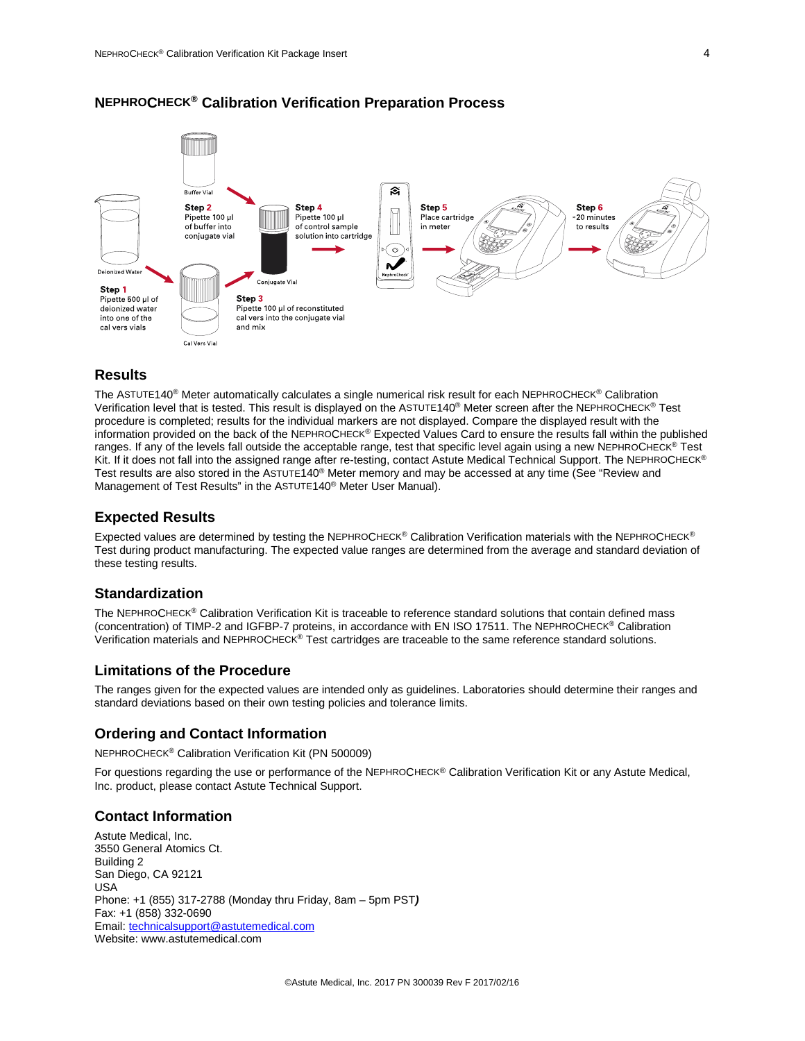

## **NEPHROCHECK® Calibration Verification Preparation Process**

#### **Results**

The ASTUTE140® Meter automatically calculates a single numerical risk result for each NEPHROCHECK® Calibration Verification level that is tested. This result is displayed on the ASTUTE140® Meter screen after the NEPHROCHECK® Test procedure is completed; results for the individual markers are not displayed. Compare the displayed result with the information provided on the back of the NEPHROCHECK® Expected Values Card to ensure the results fall within the published ranges. If any of the levels fall outside the acceptable range, test that specific level again using a new NEPHROCHECK® Test Kit. If it does not fall into the assigned range after re-testing, contact Astute Medical Technical Support. The NEPHROCHECK® Test results are also stored in the ASTUTE140® Meter memory and may be accessed at any time (See "Review and Management of Test Results" in the ASTUTE140® Meter User Manual).

#### **Expected Results**

Expected values are determined by testing the NEPHROCHECK® Calibration Verification materials with the NEPHROCHECK® Test during product manufacturing. The expected value ranges are determined from the average and standard deviation of these testing results.

#### **Standardization**

The NEPHROCHECK® Calibration Verification Kit is traceable to reference standard solutions that contain defined mass (concentration) of TIMP-2 and IGFBP-7 proteins, in accordance with EN ISO 17511. The NEPHROCHECK® Calibration Verification materials and NEPHROCHECK® Test cartridges are traceable to the same reference standard solutions.

#### **Limitations of the Procedure**

The ranges given for the expected values are intended only as guidelines. Laboratories should determine their ranges and standard deviations based on their own testing policies and tolerance limits.

#### **Ordering and Contact Information**

NEPHROCHECK® Calibration Verification Kit (PN 500009)

For questions regarding the use or performance of the NEPHROCHECK® Calibration Verification Kit or any Astute Medical, Inc. product, please contact Astute Technical Support.

## **Contact Information**

Astute Medical, Inc. 3550 General Atomics Ct. Building 2 San Diego, CA 92121 USA Phone: +1 (855) 317-2788 (Monday thru Friday, 8am – 5pm PST*)* Fax: +1 (858) 332-0690 Email: [technicalsupport@astutemedical.com](mailto:technicalsupport@astutemedical.com) Website[: www.astutemedical.com](http://www.astutemedical.com/)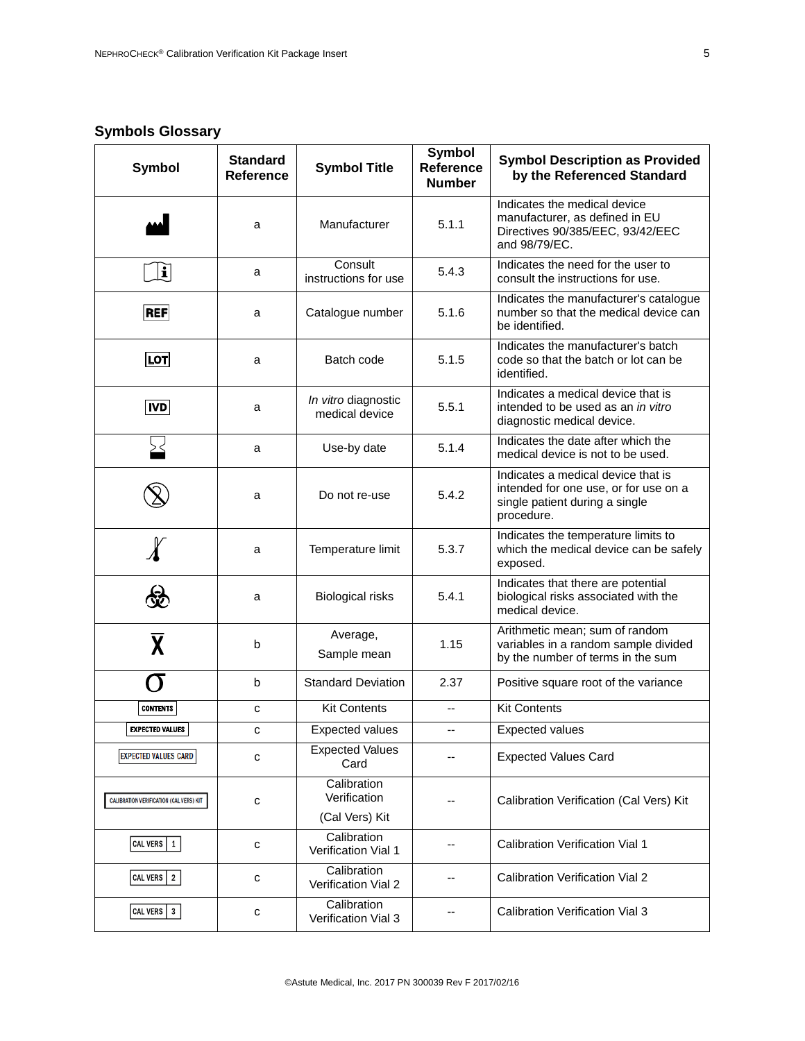## **Symbols Glossary**

| Symbol                                  | <b>Standard</b><br><b>Reference</b> | <b>Symbol Title</b>                           | <b>Symbol</b><br><b>Reference</b><br><b>Number</b> | <b>Symbol Description as Provided</b><br>by the Referenced Standard                                                         |
|-----------------------------------------|-------------------------------------|-----------------------------------------------|----------------------------------------------------|-----------------------------------------------------------------------------------------------------------------------------|
|                                         | a                                   | Manufacturer                                  | 5.1.1                                              | Indicates the medical device<br>manufacturer, as defined in EU<br>Directives 90/385/EEC, 93/42/EEC<br>and 98/79/EC.         |
| $\left\vert \mathbf{i}\right\vert$      | a                                   | Consult<br>instructions for use               | 5.4.3                                              | Indicates the need for the user to<br>consult the instructions for use.                                                     |
| <b>REF</b>                              | a                                   | Catalogue number                              | 5.1.6                                              | Indicates the manufacturer's catalogue<br>number so that the medical device can<br>be identified.                           |
| ∣LOT∣                                   | a                                   | Batch code                                    | 5.1.5                                              | Indicates the manufacturer's batch<br>code so that the batch or lot can be<br>identified.                                   |
| <b>IVD</b>                              | a                                   | In vitro diagnostic<br>medical device         | 5.5.1                                              | Indicates a medical device that is<br>intended to be used as an in vitro<br>diagnostic medical device.                      |
|                                         | a                                   | Use-by date                                   | 5.1.4                                              | Indicates the date after which the<br>medical device is not to be used.                                                     |
|                                         | a                                   | Do not re-use                                 | 5.4.2                                              | Indicates a medical device that is<br>intended for one use, or for use on a<br>single patient during a single<br>procedure. |
|                                         | a                                   | Temperature limit                             | 5.3.7                                              | Indicates the temperature limits to<br>which the medical device can be safely<br>exposed.                                   |
|                                         | a                                   | <b>Biological risks</b>                       | 5.4.1                                              | Indicates that there are potential<br>biological risks associated with the<br>medical device.                               |
| $\overline{\textsf{X}}$                 | b                                   | Average,<br>Sample mean                       | 1.15                                               | Arithmetic mean; sum of random<br>variables in a random sample divided<br>by the number of terms in the sum                 |
|                                         | b                                   | <b>Standard Deviation</b>                     | 2.37                                               | Positive square root of the variance                                                                                        |
| <b>CONTENTS</b>                         | с                                   | <b>Kit Contents</b>                           | $\overline{\phantom{a}}$                           | <b>Kit Contents</b>                                                                                                         |
| <b>EXPECTED VALUES</b>                  | С                                   | Expected values                               | $\overline{\phantom{a}}$                           | Expected values                                                                                                             |
| <b>EXPECTED VALUES CARD</b>             | c                                   | <b>Expected Values</b><br>Card                |                                                    | <b>Expected Values Card</b>                                                                                                 |
| CALIBRATION VERIFICATION (CAL VERS) KIT | С                                   | Calibration<br>Verification<br>(Cal Vers) Kit |                                                    | Calibration Verification (Cal Vers) Kit                                                                                     |
| CAL VERS 1                              | с                                   | Calibration<br>Verification Vial 1            | --                                                 | <b>Calibration Verification Vial 1</b>                                                                                      |
| CAL VERS 2                              | с                                   | Calibration<br>Verification Vial 2            |                                                    | <b>Calibration Verification Vial 2</b>                                                                                      |
| CAL VERS 3                              | с                                   | Calibration<br>Verification Vial 3            |                                                    | <b>Calibration Verification Vial 3</b>                                                                                      |